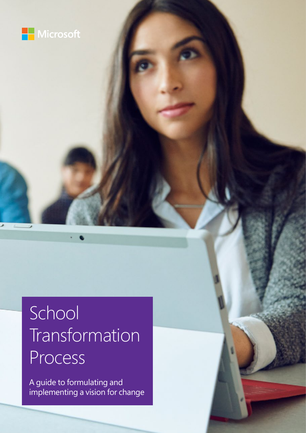

# **School** Transformation Process

A guide to formulating and implementing a vision for change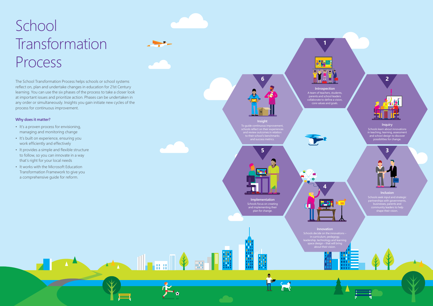# School Transformation Process

The School Transformation Process helps schools or school systems reflect on, plan and undertake changes in education for 21st Century learning. You can use the six phases of the process to take a closer look at important issues and prioritize action. Phases can be undertaken in any order or simultaneously. Insights you gain initiate new cycles of the process for continuous improvement.

**Insight** To quide continuous im schools reflect on their experiences **6**<br>**6**<br>**1**<br>**5**<br>**5**<br>**5** 

### **Why does it matter?**

rriculum, pedagogy,<br>ما اعضم بره علم علم space design – that will bring Schools seek input and strategic partnerships with governments, community leaders to help munty readers to<br>shape their visior



- It's a proven process for envisioning, managing and monitoring change
- It's built on experience, ensuring you work efficiently and effectively
- It provides a simple and flexible structure to follow, so you can innovate in a way that's right for your local needs
- It works with the Microsoft Education Transformation Framework to give you a comprehensive guide for reform.





plan for change.

M

▗▗<sub>▖▖</sub>▁<sub>║┎╻┅║</sub> ♦ <u>╥┎<mark>║</mark></u>



#### **Inclusion**

A team of teachers, students, parents and school leaders collaborate to define a vision, core values and goals.

#### **Inquiry**





Schools learn about innovations in teaching, learning, assessment and school design to discover possibilities for change.



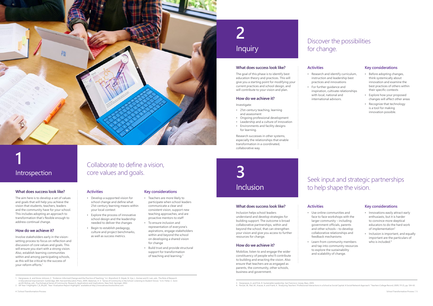## **2** Inquiry

The goal of this phase is to identify best education theory and practices. This will give you a starting point for modifying your current practices and school design, and will contribute to your vision and plan.

### **What does success look like?**

### **How do we achieve it?**

#### Investigate:

- 21st-century teaching, learning and assessment
- Ongoing professional development
- Leadership and a culture of innovation
- Environments and facility designs for learning.

Research successes in other systems, especially the relationships that enable transformation in a coordinated, collaborative way.

**Activities**

- Research and identify curriculum, instruction and leadership best practices and innovations
- For further guidance and inspiration, cultivate relationships
- with local, national and

international advisors.

### **Key considerations**

- Before adopting changes, think systemically about innovation and examine the best practices of others within their specific contexts
- Explore how your proposed changes will affect other areas
- Recognize that technology is a tool for making innovation possible.

- Teachers are more likely to participate when school leaders communicate a clear and consistent vision, support new teaching approaches, and are proactive mentors to staff
- To ensure inclusion and representation of everyone's aspirations, engage stakeholders within and beyond the school on developing a shared vision for change
- Build trust and provide structural support for transformation of teaching and learning.<sup>2</sup>

## Discover the possibilities for change.

### **What does success look like?**

The aim here is to develop a set of values and goals that will help you achieve the vision that students, teachers, leaders and the community have for your school. This includes adopting an approach to transformation that's flexible enough to address continual change.

### **How do we achieve it?**

Involve stakeholders early in the visionsetting process to focus on reflection and discussion of core values and goals. This will ensure you start with a strong vision. Also, establish learning communities within and among participating schools, as this will be critical to the success of your reform efforts.1

- Innovations easily attract early enthusiasts, but it is harder to convince more skeptical educators to do the hard work of implementation<sup>3</sup>
- Inclusion is important, and equally important are the particulars of who is included.<sup>4</sup>

### **Activities**

- Develop a supported vision for school change and define what 21st-century learning means within your local context
- Explore the process of innovative school design and the leadership needed to deliver the changes
- Begin to establish pedagogy, culture and project benchmarks, as well as success metrics.

### **Key considerations**

**1**



### Introspection

### Collaborate to define a vision, core values and goals.

#### **What does success look like?**

Inclusion helps school leaders understand and develop strategies for building support. The outcome is broad collaborative partnerships, within and beyond the school, that can strengthen your vision and give you access to further resources for change.

### **How do we achieve it?**

Mobilize, listen to and engage the wider constituency of people who'll contribute to building and enacting the vision. Also ensure that teachers are as engaged as parents, the community, other schools, business and government.

### **Activities**

- Use online communities and face to face workshops with the larger community – including government officials, parents and other schools – to develop collaborative relationships and feedback mechanisms
- Learn from community members and tap into community resources to explore the sustainability and scalability of change.

1. Hargreaves, A. and Stone-Johnson, C. "Evidence-Informed Change and the Practice of Teaching." In J. Bransford, D. Stipek, N. Vye, L. Gomez and D. Lam, eds., The Role of Research<br>in Educational Improvement. Cambridge, MA

3. Hargreaves, A. and Fink, D. Sustainable Leadership. San Francisco: Jossey-Bass, 2005.<br>4. Penuel, W., Riel, M., Krause, A. and Frank, K. "Analyzing Teachers' Professional Interactions in a School as Social Capital: A Soc

### **Key considerations**

## **3** Inclusion

### Seek input and strategic partnerships to help shape the vision.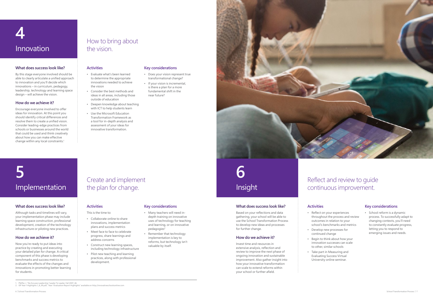### **What does success look like?**

By this stage everyone involved should be able to clearly articulate a unified approach to innovation and you'll decide which innovations – in curriculum, pedagogy, leadership, technology and learning space design – will achieve the vision.

### **How do we achieve it?**

Encourage everyone involved to offer ideas for innovation. At this point you should identify critical differences and resolve them to create a unified vision. Consider leading-edge practices from schools or businesses around the world that could be used and think creatively about how you can make effective change within any local constraints.1

### **Activities**

**What does success look like** Although tasks and timelines will vary, your Implementation phase may include learning space construction, professional development, comparison of the technology of the technology of the technology of the technology of the technology infrastructure or piloting new practices.

**IMPLEMENT** 

Now you're ready to put ideas into practice by creating and executing your detailed plan for change. A critical component of this phase is developing the component of the phase is developing

- Evaluate what's been learned to determine the appropriate innovations needed to achieve the vision
- Consider the best methods and ideas in all areas, including those outside of education
- Deepen knowledge about teaching with ICT to help students learn
- Use the Microsoft Education Transformation Framework as a tool for in-depth analysis and assessment of your ideas for innovative transformation.

### **Key considerations**

- Does your vision represent true transformational change?
- If your vision is incremental, is there a plan for a more fundamental shift in the near future?
- 

### How to bring about the vision.





**5**

### **What does success look like?**

Based on your reflections and data gathering, your school will be able to use the School Transformation Process to develop new ideas and processes for further change.

evaluate the effects of the changes and innovations in promoting better learning **6** Insight

**How do we achieve it?** 

### **How do we achieve it?**

Invest time and resources in extensive analysis, reflection and review to improve the next phase of ongoing innovation and sustainable improvement. Also gather insight into how your innovative transformation can scale to extend reforms within your school or further afield.

### **Activities**

- Reflect on your experiences throughout the process and review outcomes in relation to your school's benchmarks and metrics
- Develop new processes for continued change • Begin to think about how your
	-
- innovation successes can scale to other, similar schools
- Take part in Measuring and Evaluating Success Virtual University online seminar.

### **Key considerations**

• School reform is a dynamic process. To successfully adapt to changing contexts, you'll need to constantly evaluate progress, letting you to respond to emerging issues and needs.

## Reflect and review to guide continuous improvement.

### **What does success look like?**

Although tasks and timelines will vary, your implementation phase may include learning space construction, professional development, creation of the technology infrastructure or piloting new practices.

### **How do we achieve it?**

Now you're ready to put ideas into practice by creating and executing your detailed plan for change. A critical component of this phase is developing benchmarks and success metrics to evaluate the effects of the changes and innovations in promoting better learning for students.

**Activities**

This is the time to: • Collaborate online to share innovations, implementation plans and success metrics

- Meet face to face to celebrate progress, share learnings and address concerns
- Construct new learning spaces, including technology infrastructure
- Pilot new teaching and learning practices, along with professional development.

### **Key considerations**

- Many teachers will need indepth training on innovative uses of technology for teaching and learning, or on innovative pedagogies<sup>2</sup>
- Remember that technology implementation is key to reforms, but technology isn't valuable by itself.

### Create and implement the plan for change.

## **5** Implementation

1. Pfeffer, J. "No Excuses Leadership."Leader To Leader, Fall 2007, 46. 2. ISP Year 1 Highlights 1\_8\_09.pdf, "Year 1 Evaluation Report Highlights" available on http://innovativeschoolsonline.com